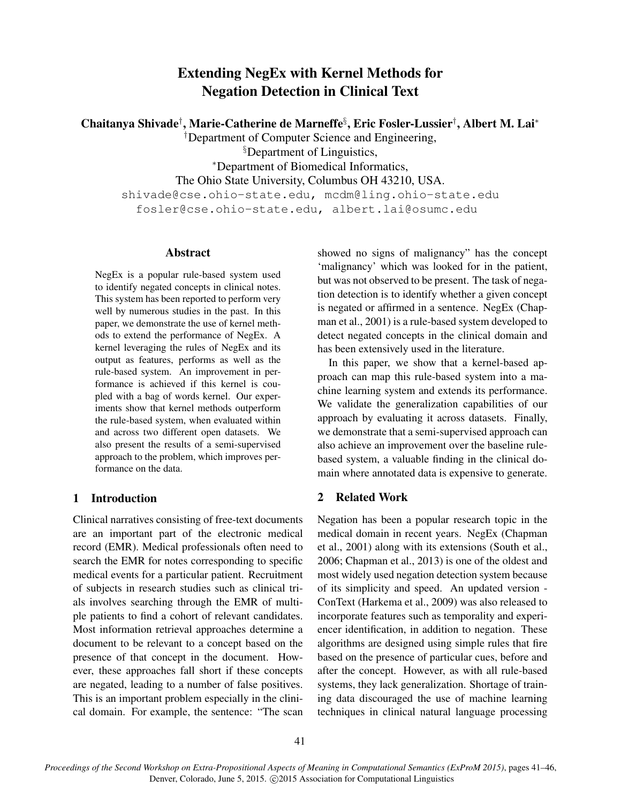# Extending NegEx with Kernel Methods for Negation Detection in Clinical Text

Chaitanya Shivade† , Marie-Catherine de Marneffe§ , Eric Fosler-Lussier† , Albert M. Lai<sup>∗</sup>

†Department of Computer Science and Engineering,

§Department of Linguistics,

<sup>∗</sup>Department of Biomedical Informatics,

The Ohio State University, Columbus OH 43210, USA.

shivade@cse.ohio-state.edu, mcdm@ling.ohio-state.edu fosler@cse.ohio-state.edu, albert.lai@osumc.edu

### Abstract

NegEx is a popular rule-based system used to identify negated concepts in clinical notes. This system has been reported to perform very well by numerous studies in the past. In this paper, we demonstrate the use of kernel methods to extend the performance of NegEx. A kernel leveraging the rules of NegEx and its output as features, performs as well as the rule-based system. An improvement in performance is achieved if this kernel is coupled with a bag of words kernel. Our experiments show that kernel methods outperform the rule-based system, when evaluated within and across two different open datasets. We also present the results of a semi-supervised approach to the problem, which improves performance on the data.

## 1 Introduction

Clinical narratives consisting of free-text documents are an important part of the electronic medical record (EMR). Medical professionals often need to search the EMR for notes corresponding to specific medical events for a particular patient. Recruitment of subjects in research studies such as clinical trials involves searching through the EMR of multiple patients to find a cohort of relevant candidates. Most information retrieval approaches determine a document to be relevant to a concept based on the presence of that concept in the document. However, these approaches fall short if these concepts are negated, leading to a number of false positives. This is an important problem especially in the clinical domain. For example, the sentence: "The scan showed no signs of malignancy" has the concept 'malignancy' which was looked for in the patient, but was not observed to be present. The task of negation detection is to identify whether a given concept is negated or affirmed in a sentence. NegEx (Chapman et al., 2001) is a rule-based system developed to detect negated concepts in the clinical domain and has been extensively used in the literature.

In this paper, we show that a kernel-based approach can map this rule-based system into a machine learning system and extends its performance. We validate the generalization capabilities of our approach by evaluating it across datasets. Finally, we demonstrate that a semi-supervised approach can also achieve an improvement over the baseline rulebased system, a valuable finding in the clinical domain where annotated data is expensive to generate.

## 2 Related Work

Negation has been a popular research topic in the medical domain in recent years. NegEx (Chapman et al., 2001) along with its extensions (South et al., 2006; Chapman et al., 2013) is one of the oldest and most widely used negation detection system because of its simplicity and speed. An updated version - ConText (Harkema et al., 2009) was also released to incorporate features such as temporality and experiencer identification, in addition to negation. These algorithms are designed using simple rules that fire based on the presence of particular cues, before and after the concept. However, as with all rule-based systems, they lack generalization. Shortage of training data discouraged the use of machine learning techniques in clinical natural language processing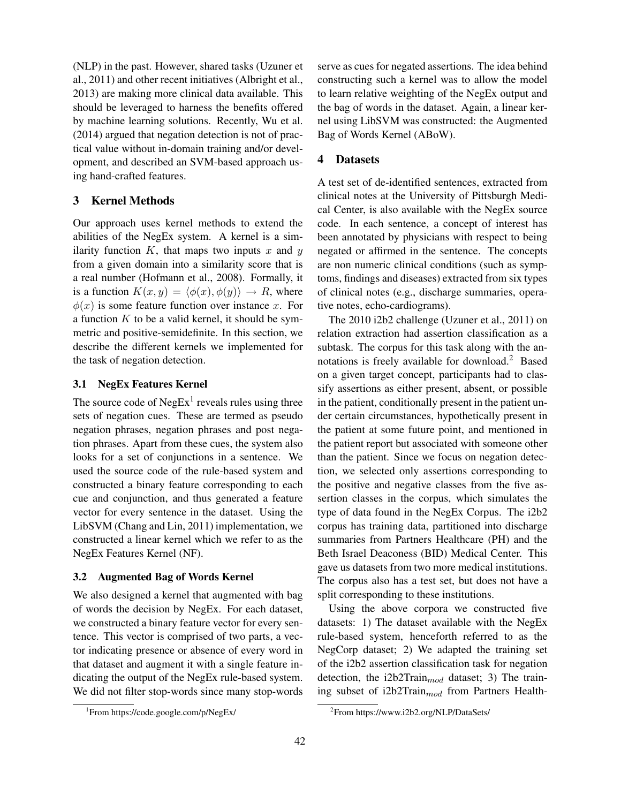(NLP) in the past. However, shared tasks (Uzuner et al., 2011) and other recent initiatives (Albright et al., 2013) are making more clinical data available. This should be leveraged to harness the benefits offered by machine learning solutions. Recently, Wu et al. (2014) argued that negation detection is not of practical value without in-domain training and/or development, and described an SVM-based approach using hand-crafted features.

## 3 Kernel Methods

Our approach uses kernel methods to extend the abilities of the NegEx system. A kernel is a similarity function  $K$ , that maps two inputs  $x$  and  $y$ from a given domain into a similarity score that is a real number (Hofmann et al., 2008). Formally, it is a function  $K(x, y) = \langle \phi(x), \phi(y) \rangle \rightarrow R$ , where  $\phi(x)$  is some feature function over instance x. For a function  $K$  to be a valid kernel, it should be symmetric and positive-semidefinite. In this section, we describe the different kernels we implemented for the task of negation detection.

## 3.1 NegEx Features Kernel

The source code of  $NegEx<sup>1</sup>$  reveals rules using three sets of negation cues. These are termed as pseudo negation phrases, negation phrases and post negation phrases. Apart from these cues, the system also looks for a set of conjunctions in a sentence. We used the source code of the rule-based system and constructed a binary feature corresponding to each cue and conjunction, and thus generated a feature vector for every sentence in the dataset. Using the LibSVM (Chang and Lin, 2011) implementation, we constructed a linear kernel which we refer to as the NegEx Features Kernel (NF).

#### 3.2 Augmented Bag of Words Kernel

We also designed a kernel that augmented with bag of words the decision by NegEx. For each dataset, we constructed a binary feature vector for every sentence. This vector is comprised of two parts, a vector indicating presence or absence of every word in that dataset and augment it with a single feature indicating the output of the NegEx rule-based system. We did not filter stop-words since many stop-words serve as cues for negated assertions. The idea behind constructing such a kernel was to allow the model to learn relative weighting of the NegEx output and the bag of words in the dataset. Again, a linear kernel using LibSVM was constructed: the Augmented Bag of Words Kernel (ABoW).

### 4 Datasets

A test set of de-identified sentences, extracted from clinical notes at the University of Pittsburgh Medical Center, is also available with the NegEx source code. In each sentence, a concept of interest has been annotated by physicians with respect to being negated or affirmed in the sentence. The concepts are non numeric clinical conditions (such as symptoms, findings and diseases) extracted from six types of clinical notes (e.g., discharge summaries, operative notes, echo-cardiograms).

The 2010 i2b2 challenge (Uzuner et al., 2011) on relation extraction had assertion classification as a subtask. The corpus for this task along with the annotations is freely available for download.<sup>2</sup> Based on a given target concept, participants had to classify assertions as either present, absent, or possible in the patient, conditionally present in the patient under certain circumstances, hypothetically present in the patient at some future point, and mentioned in the patient report but associated with someone other than the patient. Since we focus on negation detection, we selected only assertions corresponding to the positive and negative classes from the five assertion classes in the corpus, which simulates the type of data found in the NegEx Corpus. The i2b2 corpus has training data, partitioned into discharge summaries from Partners Healthcare (PH) and the Beth Israel Deaconess (BID) Medical Center. This gave us datasets from two more medical institutions. The corpus also has a test set, but does not have a split corresponding to these institutions.

Using the above corpora we constructed five datasets: 1) The dataset available with the NegEx rule-based system, henceforth referred to as the NegCorp dataset; 2) We adapted the training set of the i2b2 assertion classification task for negation detection, the i2b2Train $_{mod}$  dataset; 3) The training subset of  $i2b2\text{Train}_{mod}$  from Partners Health-

<sup>1</sup> From https://code.google.com/p/NegEx/

<sup>2</sup> From https://www.i2b2.org/NLP/DataSets/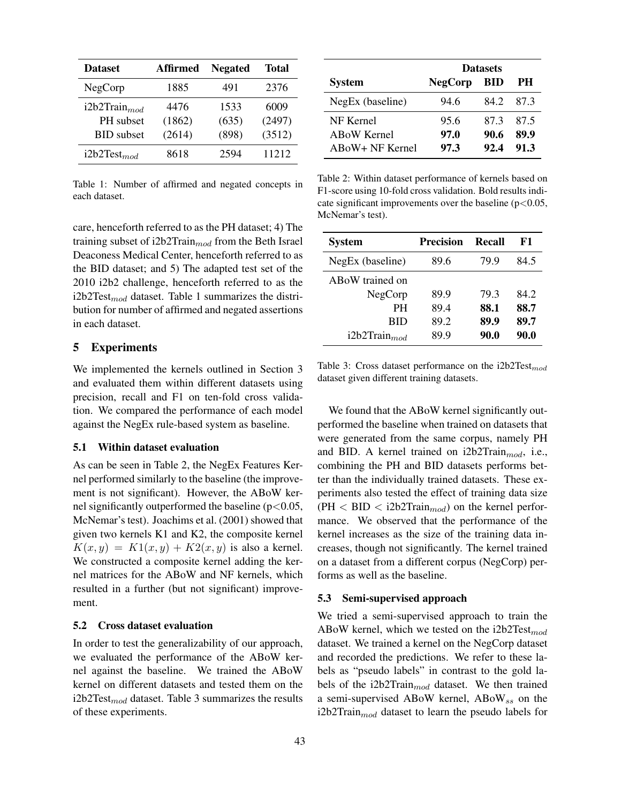| <b>Dataset</b>    | Affirmed | <b>Negated</b> | Total  |
|-------------------|----------|----------------|--------|
| NegCorp           | 1885     | 491            | 2376   |
| $i2b2Train_{mod}$ | 4476     | 1533           | 6009   |
| PH subset         | (1862)   | (635)          | (2497) |
| <b>BID</b> subset | (2614)   | (898)          | (3512) |
| i2b2Test $_{mod}$ | 8618     | 2594           | 11212  |

Table 1: Number of affirmed and negated concepts in each dataset.

care, henceforth referred to as the PH dataset; 4) The training subset of i2b2Train $_{mod}$  from the Beth Israel Deaconess Medical Center, henceforth referred to as the BID dataset; and 5) The adapted test set of the 2010 i2b2 challenge, henceforth referred to as the  $i2b2Test_{mod}$  dataset. Table 1 summarizes the distribution for number of affirmed and negated assertions in each dataset.

### 5 Experiments

We implemented the kernels outlined in Section 3 and evaluated them within different datasets using precision, recall and F1 on ten-fold cross validation. We compared the performance of each model against the NegEx rule-based system as baseline.

#### 5.1 Within dataset evaluation

As can be seen in Table 2, the NegEx Features Kernel performed similarly to the baseline (the improvement is not significant). However, the ABoW kernel significantly outperformed the baseline  $(p<0.05$ , McNemar's test). Joachims et al. (2001) showed that given two kernels K1 and K2, the composite kernel  $K(x, y) = K1(x, y) + K2(x, y)$  is also a kernel. We constructed a composite kernel adding the kernel matrices for the ABoW and NF kernels, which resulted in a further (but not significant) improvement.

#### 5.2 Cross dataset evaluation

In order to test the generalizability of our approach, we evaluated the performance of the ABoW kernel against the baseline. We trained the ABoW kernel on different datasets and tested them on the i2b2Test $_{mod}$  dataset. Table 3 summarizes the results of these experiments.

|                    | <b>Datasets</b> |            |      |
|--------------------|-----------------|------------|------|
| <b>System</b>      | <b>NegCorp</b>  | <b>BID</b> | PН   |
| NegEx (baseline)   | 94.6            | 842        | -873 |
| NF Kernel          | 95.6            | 873        | 87.5 |
| ABoW Kernel        | 97.0            | 90.6       | 89.9 |
| $ABoW + NF$ Kernel | 97.3            | 92.4       | 91.3 |

Table 2: Within dataset performance of kernels based on F1-score using 10-fold cross validation. Bold results indicate significant improvements over the baseline  $(p<0.05$ , McNemar's test).

| <b>System</b>     | <b>Precision</b> | Recall | F1   |
|-------------------|------------------|--------|------|
| NegEx (baseline)  | 89.6             | 79.9   | 84.5 |
| ABoW trained on   |                  |        |      |
| NegCorp           | 89.9             | 79.3   | 84.2 |
| PН                | 89.4             | 88.1   | 88.7 |
| BID               | 89.2             | 89.9   | 89.7 |
| $i2b2Train_{mod}$ | 89.9             | 90.0   | 90.0 |

Table 3: Cross dataset performance on the i2b2Test $_{mod}$ dataset given different training datasets.

We found that the ABoW kernel significantly outperformed the baseline when trained on datasets that were generated from the same corpus, namely PH and BID. A kernel trained on  $i2b2Train_{mod}$ , i.e., combining the PH and BID datasets performs better than the individually trained datasets. These experiments also tested the effect of training data size  $(PH < BID < i2b2Train_{mod})$  on the kernel performance. We observed that the performance of the kernel increases as the size of the training data increases, though not significantly. The kernel trained on a dataset from a different corpus (NegCorp) performs as well as the baseline.

#### 5.3 Semi-supervised approach

We tried a semi-supervised approach to train the ABoW kernel, which we tested on the i2b2Test $_{mod}$ dataset. We trained a kernel on the NegCorp dataset and recorded the predictions. We refer to these labels as "pseudo labels" in contrast to the gold labels of the i2b2Train $_{mod}$  dataset. We then trained a semi-supervised ABoW kernel,  $ABoW_{ss}$  on the i2b2Train $_{mod}$  dataset to learn the pseudo labels for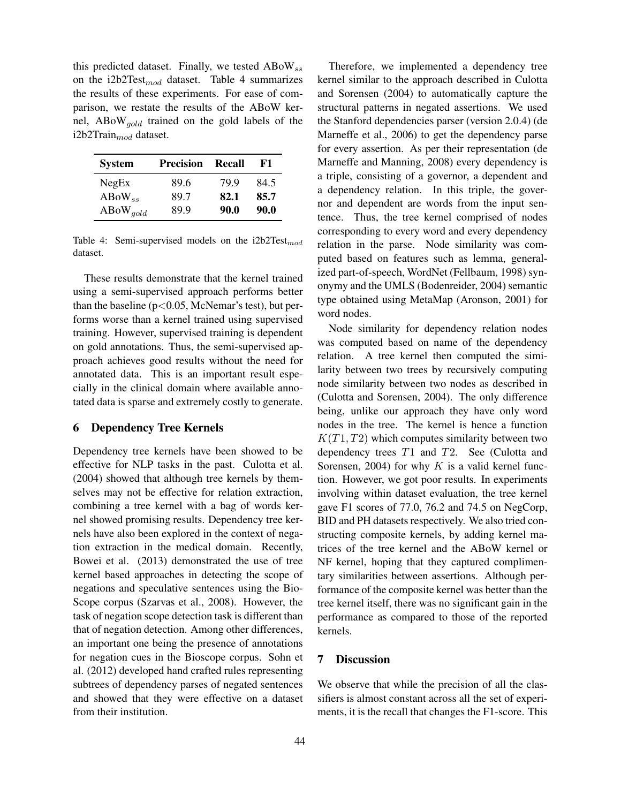this predicted dataset. Finally, we tested  $\mathrm{ABow}_{ss}$ on the i2b2Test $_{mod}$  dataset. Table 4 summarizes the results of these experiments. For ease of comparison, we restate the results of the ABoW kernel,  $ABoW_{gold}$  trained on the gold labels of the i2b2Train $_{mod}$  dataset.

| <b>System</b>          | <b>Precision</b> | Recall | F1.  |
|------------------------|------------------|--------|------|
| NegEx                  | 89.6             | 799    | 84.5 |
| $\rm{ABoW}_{ss}$       | 89.7             | 82.1   | 85.7 |
| $\rm{ABoW}_{\it gold}$ | 89.9             | 90.0   | 90.0 |

Table 4: Semi-supervised models on the  $i2b2Test_{mod}$ dataset.

These results demonstrate that the kernel trained using a semi-supervised approach performs better than the baseline ( $p<0.05$ , McNemar's test), but performs worse than a kernel trained using supervised training. However, supervised training is dependent on gold annotations. Thus, the semi-supervised approach achieves good results without the need for annotated data. This is an important result especially in the clinical domain where available annotated data is sparse and extremely costly to generate.

#### 6 Dependency Tree Kernels

Dependency tree kernels have been showed to be effective for NLP tasks in the past. Culotta et al. (2004) showed that although tree kernels by themselves may not be effective for relation extraction, combining a tree kernel with a bag of words kernel showed promising results. Dependency tree kernels have also been explored in the context of negation extraction in the medical domain. Recently, Bowei et al. (2013) demonstrated the use of tree kernel based approaches in detecting the scope of negations and speculative sentences using the Bio-Scope corpus (Szarvas et al., 2008). However, the task of negation scope detection task is different than that of negation detection. Among other differences, an important one being the presence of annotations for negation cues in the Bioscope corpus. Sohn et al. (2012) developed hand crafted rules representing subtrees of dependency parses of negated sentences and showed that they were effective on a dataset from their institution.

Therefore, we implemented a dependency tree kernel similar to the approach described in Culotta and Sorensen (2004) to automatically capture the structural patterns in negated assertions. We used the Stanford dependencies parser (version 2.0.4) (de Marneffe et al., 2006) to get the dependency parse for every assertion. As per their representation (de Marneffe and Manning, 2008) every dependency is a triple, consisting of a governor, a dependent and a dependency relation. In this triple, the governor and dependent are words from the input sentence. Thus, the tree kernel comprised of nodes corresponding to every word and every dependency relation in the parse. Node similarity was computed based on features such as lemma, generalized part-of-speech, WordNet (Fellbaum, 1998) synonymy and the UMLS (Bodenreider, 2004) semantic type obtained using MetaMap (Aronson, 2001) for word nodes.

Node similarity for dependency relation nodes was computed based on name of the dependency relation. A tree kernel then computed the similarity between two trees by recursively computing node similarity between two nodes as described in (Culotta and Sorensen, 2004). The only difference being, unlike our approach they have only word nodes in the tree. The kernel is hence a function  $K(T1, T2)$  which computes similarity between two dependency trees T1 and T2. See (Culotta and Sorensen, 2004) for why  $K$  is a valid kernel function. However, we got poor results. In experiments involving within dataset evaluation, the tree kernel gave F1 scores of 77.0, 76.2 and 74.5 on NegCorp, BID and PH datasets respectively. We also tried constructing composite kernels, by adding kernel matrices of the tree kernel and the ABoW kernel or NF kernel, hoping that they captured complimentary similarities between assertions. Although performance of the composite kernel was better than the tree kernel itself, there was no significant gain in the performance as compared to those of the reported kernels.

## 7 Discussion

We observe that while the precision of all the classifiers is almost constant across all the set of experiments, it is the recall that changes the F1-score. This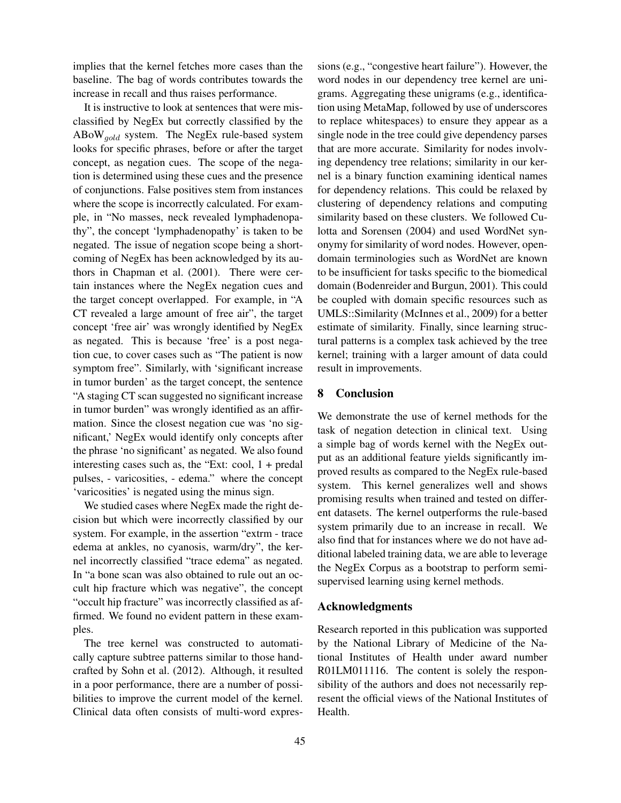implies that the kernel fetches more cases than the baseline. The bag of words contributes towards the increase in recall and thus raises performance.

It is instructive to look at sentences that were misclassified by NegEx but correctly classified by the  $ABoW_{gold}$  system. The NegEx rule-based system looks for specific phrases, before or after the target concept, as negation cues. The scope of the negation is determined using these cues and the presence of conjunctions. False positives stem from instances where the scope is incorrectly calculated. For example, in "No masses, neck revealed lymphadenopathy", the concept 'lymphadenopathy' is taken to be negated. The issue of negation scope being a shortcoming of NegEx has been acknowledged by its authors in Chapman et al. (2001). There were certain instances where the NegEx negation cues and the target concept overlapped. For example, in "A CT revealed a large amount of free air", the target concept 'free air' was wrongly identified by NegEx as negated. This is because 'free' is a post negation cue, to cover cases such as "The patient is now symptom free". Similarly, with 'significant increase in tumor burden' as the target concept, the sentence "A staging CT scan suggested no significant increase in tumor burden" was wrongly identified as an affirmation. Since the closest negation cue was 'no significant,' NegEx would identify only concepts after the phrase 'no significant' as negated. We also found interesting cases such as, the "Ext: cool, 1 + predal pulses, - varicosities, - edema." where the concept 'varicosities' is negated using the minus sign.

We studied cases where NegEx made the right decision but which were incorrectly classified by our system. For example, in the assertion "extrm - trace edema at ankles, no cyanosis, warm/dry", the kernel incorrectly classified "trace edema" as negated. In "a bone scan was also obtained to rule out an occult hip fracture which was negative", the concept "occult hip fracture" was incorrectly classified as affirmed. We found no evident pattern in these examples.

The tree kernel was constructed to automatically capture subtree patterns similar to those handcrafted by Sohn et al. (2012). Although, it resulted in a poor performance, there are a number of possibilities to improve the current model of the kernel. Clinical data often consists of multi-word expressions (e.g., "congestive heart failure"). However, the word nodes in our dependency tree kernel are unigrams. Aggregating these unigrams (e.g., identification using MetaMap, followed by use of underscores to replace whitespaces) to ensure they appear as a single node in the tree could give dependency parses that are more accurate. Similarity for nodes involving dependency tree relations; similarity in our kernel is a binary function examining identical names for dependency relations. This could be relaxed by clustering of dependency relations and computing similarity based on these clusters. We followed Culotta and Sorensen (2004) and used WordNet synonymy for similarity of word nodes. However, opendomain terminologies such as WordNet are known to be insufficient for tasks specific to the biomedical domain (Bodenreider and Burgun, 2001). This could be coupled with domain specific resources such as UMLS::Similarity (McInnes et al., 2009) for a better estimate of similarity. Finally, since learning structural patterns is a complex task achieved by the tree kernel; training with a larger amount of data could result in improvements.

#### 8 Conclusion

We demonstrate the use of kernel methods for the task of negation detection in clinical text. Using a simple bag of words kernel with the NegEx output as an additional feature yields significantly improved results as compared to the NegEx rule-based system. This kernel generalizes well and shows promising results when trained and tested on different datasets. The kernel outperforms the rule-based system primarily due to an increase in recall. We also find that for instances where we do not have additional labeled training data, we are able to leverage the NegEx Corpus as a bootstrap to perform semisupervised learning using kernel methods.

#### Acknowledgments

Research reported in this publication was supported by the National Library of Medicine of the National Institutes of Health under award number R01LM011116. The content is solely the responsibility of the authors and does not necessarily represent the official views of the National Institutes of Health.